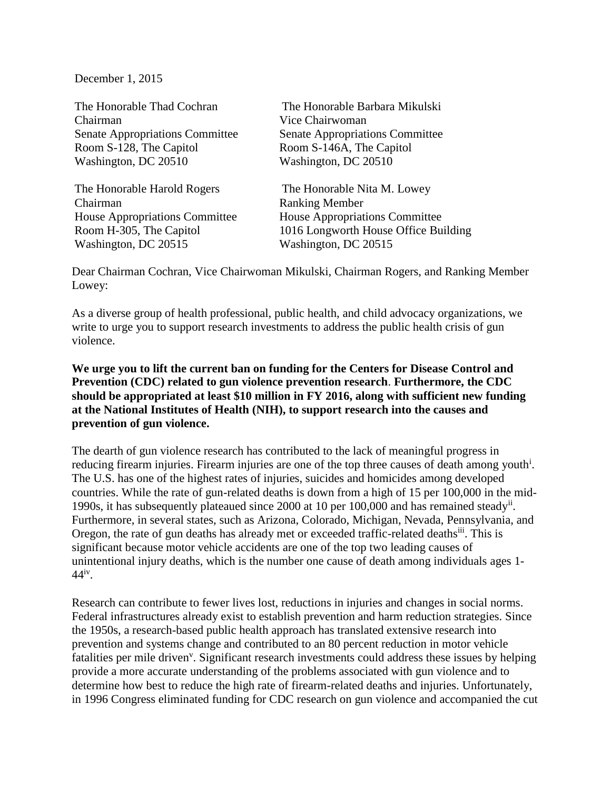December 1, 2015

The Honorable Thad Cochran Chairman Senate Appropriations Committee Room S-128, The Capitol Washington, DC 20510

The Honorable Harold Rogers Chairman House Appropriations Committee Room H-305, The Capitol Washington, DC 20515

The Honorable Barbara Mikulski Vice Chairwoman Senate Appropriations Committee Room S-146A, The Capitol Washington, DC 20510

The Honorable Nita M. Lowey Ranking Member House Appropriations Committee 1016 Longworth House Office Building Washington, DC 20515

Dear Chairman Cochran, Vice Chairwoman Mikulski, Chairman Rogers, and Ranking Member Lowey:

As a diverse group of health professional, public health, and child advocacy organizations, we write to urge you to support research investments to address the public health crisis of gun violence.

## **We urge you to lift the current ban on funding for the Centers for Disease Control and Prevention (CDC) related to gun violence prevention research**. **Furthermore, the CDC should be appropriated at least \$10 million in FY 2016, along with sufficient new funding at the National Institutes of Health (NIH), to support research into the causes and prevention of gun violence.**

The dearth of gun violence research has contributed to the lack of meaningful progress in reducing firearm injuries. Firearm injuries are one of the top three causes of death among youth<sup>i</sup>. The U.S. has one of the highest rates of injuries, suicides and homicides among developed countries. While the rate of gun-related deaths is down from a high of 15 per 100,000 in the mid-1990s, it has subsequently plateaued since 2000 at 10 per 100,000 and has remained steady<sup>ii</sup>. Furthermore, in several states, such as Arizona, Colorado, Michigan, Nevada, Pennsylvania, and Oregon, the rate of gun deaths has already met or exceeded traffic-related deaths<sup>iii</sup>. This is significant because motor vehicle accidents are one of the top two leading causes of unintentional injury deaths, which is the number one cause of death among individuals ages 1- 44iv .

Research can contribute to fewer lives lost, reductions in injuries and changes in social norms. Federal infrastructures already exist to establish prevention and harm reduction strategies. Since the 1950s, a research-based public health approach has translated extensive research into prevention and systems change and contributed to an 80 percent reduction in motor vehicle fatalities per mile driven<sup>v</sup>. Significant research investments could address these issues by helping provide a more accurate understanding of the problems associated with gun violence and to determine how best to reduce the high rate of firearm-related deaths and injuries. Unfortunately, in 1996 Congress eliminated funding for CDC research on gun violence and accompanied the cut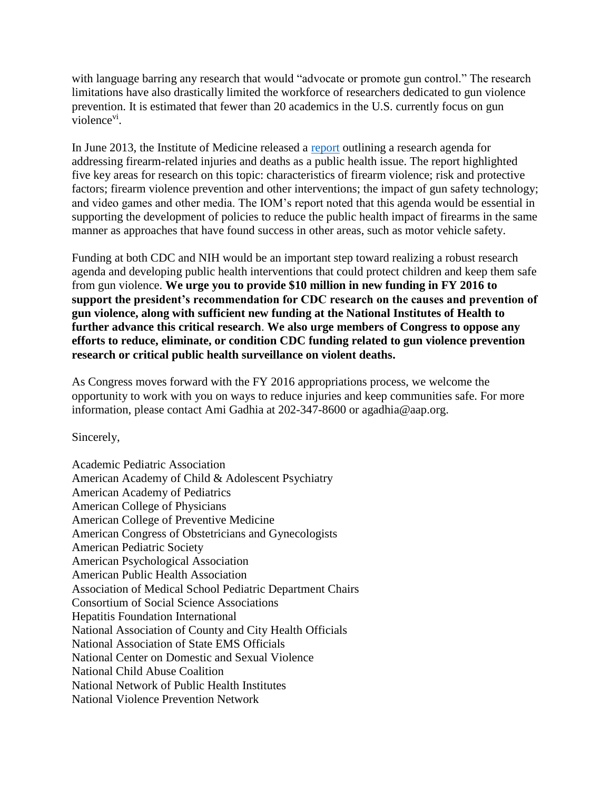with language barring any research that would "advocate or promote gun control." The research limitations have also drastically limited the workforce of researchers dedicated to gun violence prevention. It is estimated that fewer than 20 academics in the U.S. currently focus on gun violence<sup>vi</sup>.

In June 2013, the Institute of Medicine released a [report](http://books.nap.edu/openbook.php?record_id=18319) outlining a research agenda for addressing firearm-related injuries and deaths as a public health issue. The report highlighted five key areas for research on this topic: characteristics of firearm violence; risk and protective factors; firearm violence prevention and other interventions; the impact of gun safety technology; and video games and other media. The IOM's report noted that this agenda would be essential in supporting the development of policies to reduce the public health impact of firearms in the same manner as approaches that have found success in other areas, such as motor vehicle safety.

Funding at both CDC and NIH would be an important step toward realizing a robust research agenda and developing public health interventions that could protect children and keep them safe from gun violence. **We urge you to provide \$10 million in new funding in FY 2016 to support the president's recommendation for CDC research on the causes and prevention of gun violence, along with sufficient new funding at the National Institutes of Health to further advance this critical research**. **We also urge members of Congress to oppose any efforts to reduce, eliminate, or condition CDC funding related to gun violence prevention research or critical public health surveillance on violent deaths.**

As Congress moves forward with the FY 2016 appropriations process, we welcome the opportunity to work with you on ways to reduce injuries and keep communities safe. For more information, please contact Ami Gadhia at 202-347-8600 or agadhia@aap.org.

Sincerely,

Academic Pediatric Association American Academy of Child & Adolescent Psychiatry American Academy of Pediatrics American College of Physicians American College of Preventive Medicine American Congress of Obstetricians and Gynecologists American Pediatric Society American Psychological Association American Public Health Association Association of Medical School Pediatric Department Chairs Consortium of Social Science Associations Hepatitis Foundation International National Association of County and City Health Officials National Association of State EMS Officials National Center on Domestic and Sexual Violence National Child Abuse Coalition National Network of Public Health Institutes National Violence Prevention Network